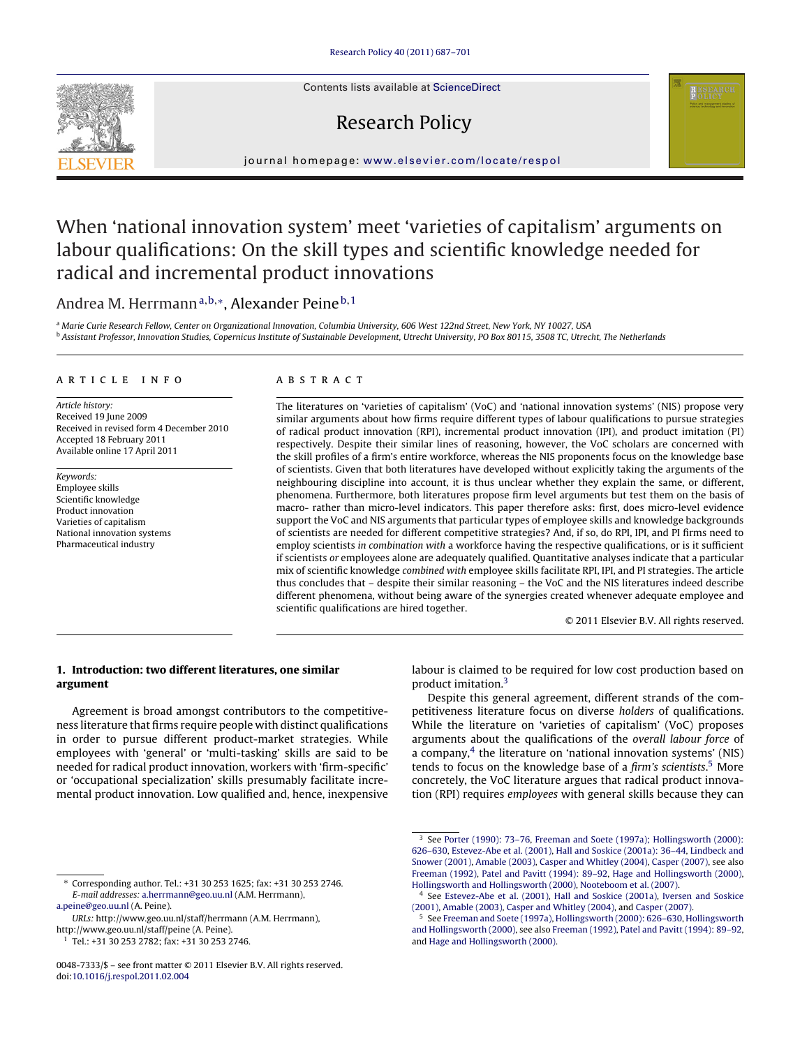Contents lists available at [ScienceDirect](http://www.sciencedirect.com/science/journal/00487333)

## Research Policy

journal homepage: [www.elsevier.com/locate/respol](http://www.elsevier.com/locate/respol)

# When 'national innovation system' meet 'varieties of capitalism' arguments on labour qualifications: On the skill types and scientific knowledge needed for radical and incremental product innovations

### Andrea M. Herrmann<sup>a,b,∗</sup>, Alexander Peine<sup>b,1</sup>

a Marie Curie Research Fellow, Center on Organizational Innovation, Columbia University, 606 West 122nd Street, New York, NY 10027, USA <sup>b</sup> Assistant Professor, Innovation Studies, Copernicus Institute of Sustainable Development, Utrecht University, PO Box 80115, 3508 TC, Utrecht, The Netherlands

#### article info

Article history: Received 19 June 2009 Received in revised form 4 December 2010 Accepted 18 February 2011 Available online 17 April 2011

Keywords: Employee skills Scientific knowledge Product innovation Varieties of capitalism National innovation systems Pharmaceutical industry

#### ABSTRACT

The literatures on 'varieties of capitalism' (VoC) and 'national innovation systems' (NIS) propose very similar arguments about how firms require different types of labour qualifications to pursue strategies of radical product innovation (RPI), incremental product innovation (IPI), and product imitation (PI) respectively. Despite their similar lines of reasoning, however, the VoC scholars are concerned with the skill profiles of a firm's entire workforce, whereas the NIS proponents focus on the knowledge base of scientists. Given that both literatures have developed without explicitly taking the arguments of the neighbouring discipline into account, it is thus unclear whether they explain the same, or different, phenomena. Furthermore, both literatures propose firm level arguments but test them on the basis of macro- rather than micro-level indicators. This paper therefore asks: first, does micro-level evidence support the VoC and NIS arguments that particular types of employee skills and knowledge backgrounds of scientists are needed for different competitive strategies? And, if so, do RPI, IPI, and PI firms need to employ scientists in combination with a workforce having the respective qualifications, or is it sufficient if scientists or employees alone are adequately qualified. Quantitative analyses indicate that a particular mix of scientific knowledge combined with employee skills facilitate RPI, IPI, and PI strategies. The article thus concludes that – despite their similar reasoning – the VoC and the NIS literatures indeed describe different phenomena, without being aware of the synergies created whenever adequate employee and scientific qualifications are hired together.

© 2011 Elsevier B.V. All rights reserved.

#### **1. Introduction: two different literatures, one similar argument**

Agreement is broad amongst contributors to the competitiveness literature that firms require people with distinct qualifications in order to pursue different product-market strategies. While employees with 'general' or 'multi-tasking' skills are said to be needed for radical product innovation, workers with 'firm-specific' or 'occupational specialization' skills presumably facilitate incremental product innovation. Low qualified and, hence, inexpensive labour is claimed to be required for low cost production based on product imitation.3

Despite this general agreement, different strands of the competitiveness literature focus on diverse holders of qualifications. While the literature on 'varieties of capitalism' (VoC) proposes arguments about the qualifications of the overall labour force of a company, $4$  the literature on 'national innovation systems' (NIS) tends to focus on the knowledge base of a firm's scientists.<sup>5</sup> More concretely, the VoC literature argues that radical product innovation (RPI) requires employees with general skills because they can



<sup>∗</sup> Corresponding author. Tel.: +31 30 253 1625; fax: +31 30 253 2746. E-mail addresses: [a.herrmann@geo.uu.nl](mailto:a.herrmann@geo.uu.nl) (A.M. Herrmann),

[a.peine@geo.uu.nl](mailto:a.peine@geo.uu.nl) (A. Peine).

URLs: http://www.geo.uu.nl/staff/herrmann (A.M. Herrmann), http://www.geo.uu.nl/staff/peine (A. Peine).

<sup>1</sup> Tel.: +31 30 253 2782; fax: +31 30 253 2746.

<sup>0048-7333/\$ –</sup> see front matter © 2011 Elsevier B.V. All rights reserved. doi:[10.1016/j.respol.2011.02.004](dx.doi.org/10.1016/j.respol.2011.02.004)

<sup>&</sup>lt;sup>3</sup> See Porter (1990): 73-76, [Freeman and Soete \(1997a\); Hollingsworth \(2000\):](#page--1-0) [626–630,](#page--1-0) [Estevez-Abe et al. \(2001\),](#page--1-0) [Hall and Soskice \(2001a\): 36–44,](#page--1-0) [Lindbeck and](#page--1-0) [Snower \(2001\),](#page--1-0) [Amable \(2003\),](#page--1-0) [Casper and Whitley \(2004\),](#page--1-0) [Casper \(2007\), s](#page--1-0)ee also [Freeman \(1992\),](#page--1-0) [Patel and Pavitt \(1994\): 89–92,](#page--1-0) [Hage and Hollingsworth \(2000\),](#page--1-0) [Hollingsworth and Hollingsworth \(2000\),](#page--1-0) [Nooteboom et al. \(2007\).](#page--1-0)

<sup>4</sup> See [Estevez-Abe et al. \(2001\),](#page--1-0) [Hall and Soskice \(2001a\),](#page--1-0) [Iversen and Soskice](#page--1-0) [\(2001\),](#page--1-0) [Amable \(2003\),](#page--1-0) [Casper and Whitley \(2004\), a](#page--1-0)nd [Casper \(2007\).](#page--1-0)

<sup>5</sup> See [Freeman and Soete \(1997a\),](#page--1-0) [Hollingsworth \(2000\): 626–630,](#page--1-0) [Hollingsworth](#page--1-0) [and Hollingsworth \(2000\), s](#page--1-0)ee also [Freeman \(1992\),](#page--1-0) [Patel and Pavitt \(1994\): 89–92,](#page--1-0) and [Hage and Hollingsworth \(2000\).](#page--1-0)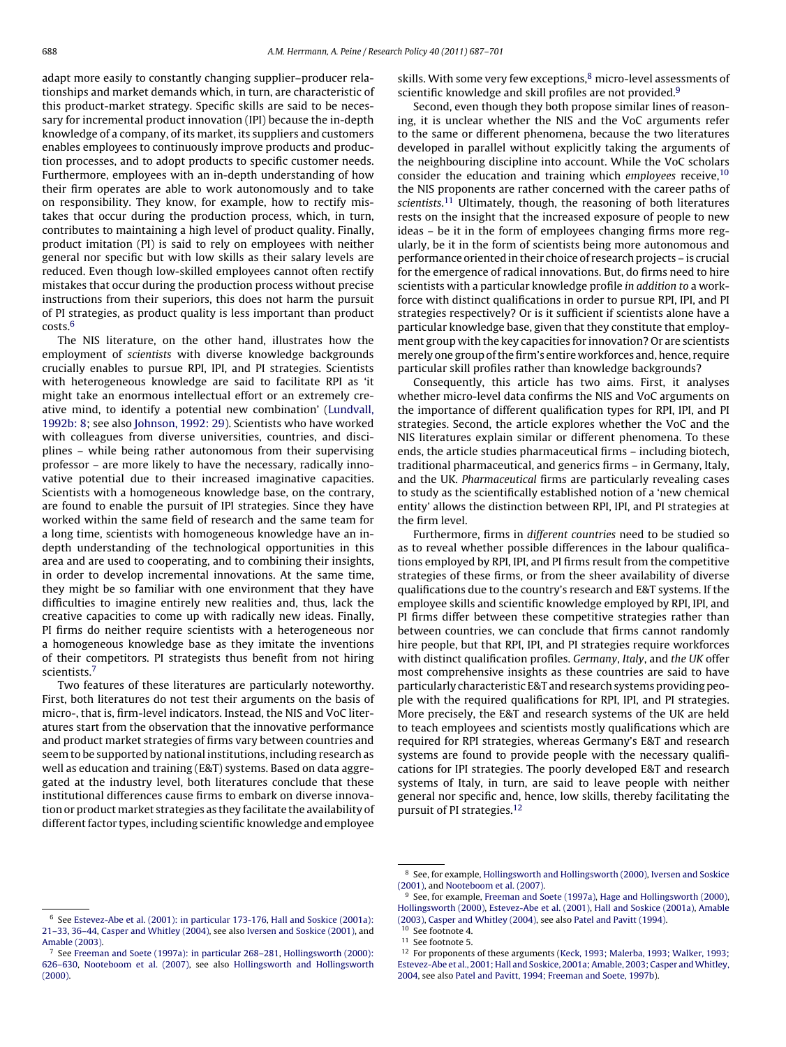adapt more easily to constantly changing supplier–producer relationships and market demands which, in turn, are characteristic of this product-market strategy. Specific skills are said to be necessary for incremental product innovation (IPI) because the in-depth knowledge of a company, of its market, its suppliers and customers enables employees to continuously improve products and production processes, and to adopt products to specific customer needs. Furthermore, employees with an in-depth understanding of how their firm operates are able to work autonomously and to take on responsibility. They know, for example, how to rectify mistakes that occur during the production process, which, in turn, contributes to maintaining a high level of product quality. Finally, product imitation (PI) is said to rely on employees with neither general nor specific but with low skills as their salary levels are reduced. Even though low-skilled employees cannot often rectify mistakes that occur during the production process without precise instructions from their superiors, this does not harm the pursuit of PI strategies, as product quality is less important than product costs.6

The NIS literature, on the other hand, illustrates how the employment of scientists with diverse knowledge backgrounds crucially enables to pursue RPI, IPI, and PI strategies. Scientists with heterogeneous knowledge are said to facilitate RPI as 'it might take an enormous intellectual effort or an extremely creative mind, to identify a potential new combination' ([Lundvall,](#page--1-0) [1992b: 8; s](#page--1-0)ee also [Johnson, 1992: 29\).](#page--1-0) Scientists who have worked with colleagues from diverse universities, countries, and disciplines – while being rather autonomous from their supervising professor – are more likely to have the necessary, radically innovative potential due to their increased imaginative capacities. Scientists with a homogeneous knowledge base, on the contrary, are found to enable the pursuit of IPI strategies. Since they have worked within the same field of research and the same team for a long time, scientists with homogeneous knowledge have an indepth understanding of the technological opportunities in this area and are used to cooperating, and to combining their insights, in order to develop incremental innovations. At the same time, they might be so familiar with one environment that they have difficulties to imagine entirely new realities and, thus, lack the creative capacities to come up with radically new ideas. Finally, PI firms do neither require scientists with a heterogeneous nor a homogeneous knowledge base as they imitate the inventions of their competitors. PI strategists thus benefit from not hiring scientists.7

Two features of these literatures are particularly noteworthy. First, both literatures do not test their arguments on the basis of micro-, that is, firm-level indicators. Instead, the NIS and VoC literatures start from the observation that the innovative performance and product market strategies of firms vary between countries and seem to be supported by national institutions, including research as well as education and training (E&T) systems. Based on data aggregated at the industry level, both literatures conclude that these institutional differences cause firms to embark on diverse innovation or product market strategies as they facilitate the availability of different factor types, including scientific knowledge and employee

skills. With some very few exceptions,<sup>8</sup> micro-level assessments of scientific knowledge and skill profiles are not provided.<sup>9</sup>

Second, even though they both propose similar lines of reasoning, it is unclear whether the NIS and the VoC arguments refer to the same or different phenomena, because the two literatures developed in parallel without explicitly taking the arguments of the neighbouring discipline into account. While the VoC scholars consider the education and training which employees receive, $10$ the NIS proponents are rather concerned with the career paths of scientists.<sup>11</sup> Ultimately, though, the reasoning of both literatures rests on the insight that the increased exposure of people to new ideas – be it in the form of employees changing firms more regularly, be it in the form of scientists being more autonomous and performance oriented in their choice of research projects – is crucial for the emergence of radical innovations. But, do firms need to hire scientists with a particular knowledge profile in addition to a workforce with distinct qualifications in order to pursue RPI, IPI, and PI strategies respectively? Or is it sufficient if scientists alone have a particular knowledge base, given that they constitute that employment group with the key capacities for innovation? Or are scientists merely one group of the firm's entire workforces and, hence, require particular skill profiles rather than knowledge backgrounds?

Consequently, this article has two aims. First, it analyses whether micro-level data confirms the NIS and VoC arguments on the importance of different qualification types for RPI, IPI, and PI strategies. Second, the article explores whether the VoC and the NIS literatures explain similar or different phenomena. To these ends, the article studies pharmaceutical firms – including biotech, traditional pharmaceutical, and generics firms – in Germany, Italy, and the UK. Pharmaceutical firms are particularly revealing cases to study as the scientifically established notion of a 'new chemical entity' allows the distinction between RPI, IPI, and PI strategies at the firm level.

Furthermore, firms in different countries need to be studied so as to reveal whether possible differences in the labour qualifications employed by RPI, IPI, and PI firms result from the competitive strategies of these firms, or from the sheer availability of diverse qualifications due to the country's research and E&T systems. If the employee skills and scientific knowledge employed by RPI, IPI, and PI firms differ between these competitive strategies rather than between countries, we can conclude that firms cannot randomly hire people, but that RPI, IPI, and PI strategies require workforces with distinct qualification profiles. Germany, Italy, and the UK offer most comprehensive insights as these countries are said to have particularly characteristic E&T and research systems providing people with the required qualifications for RPI, IPI, and PI strategies. More precisely, the E&T and research systems of the UK are held to teach employees and scientists mostly qualifications which are required for RPI strategies, whereas Germany's E&T and research systems are found to provide people with the necessary qualifications for IPI strategies. The poorly developed E&T and research systems of Italy, in turn, are said to leave people with neither general nor specific and, hence, low skills, thereby facilitating the pursuit of PI strategies.12

[Amable \(2003\).](#page--1-0)

<sup>6</sup> See [Estevez-Abe et al. \(2001\): in particular 173-176,](#page--1-0) [Hall and Soskice \(2001a\):](#page--1-0) [21–33, 36–44,](#page--1-0) [Casper and Whitley \(2004\), s](#page--1-0)ee also [Iversen and Soskice \(2001\), a](#page--1-0)nd

<sup>8</sup> See, for example, [Hollingsworth and Hollingsworth \(2000\),](#page--1-0) [Iversen and Soskice](#page--1-0) [\(2001\), a](#page--1-0)nd [Nooteboom et al. \(2007\).](#page--1-0)

<sup>&</sup>lt;sup>9</sup> See, for example, [Freeman and Soete \(1997a\),](#page--1-0) [Hage and Hollingsworth \(2000\),](#page--1-0) [Hollingsworth \(2000\),](#page--1-0) [Estevez-Abe et al. \(2001\),](#page--1-0) [Hall and Soskice \(2001a\),](#page--1-0) [Amable](#page--1-0) [\(2003\),](#page--1-0) [Casper and Whitley \(2004\), s](#page--1-0)ee also [Patel and Pavitt \(1994\).](#page--1-0)

<sup>10</sup> See footnote 4. <sup>11</sup> See footnote 5.

<sup>7</sup> See [Freeman and Soete \(1997a\): in particular 268–281,](#page--1-0) [Hollingsworth \(2000\):](#page--1-0) [626–630,](#page--1-0) [Nooteboom et al. \(2007\),](#page--1-0) see also [Hollingsworth and Hollingsworth](#page--1-0) [\(2000\).](#page--1-0)

<sup>&</sup>lt;sup>12</sup> For proponents of these arguments ([Keck, 1993; Malerba, 1993; Walker, 1993;](#page--1-0) [Estevez-Abe et al., 2001; Hall and Soskice, 2001a; Amable, 2003; Casper andWhitley,](#page--1-0) [2004, s](#page--1-0)ee also [Patel and Pavitt, 1994; Freeman and Soete, 1997b\).](#page--1-0)